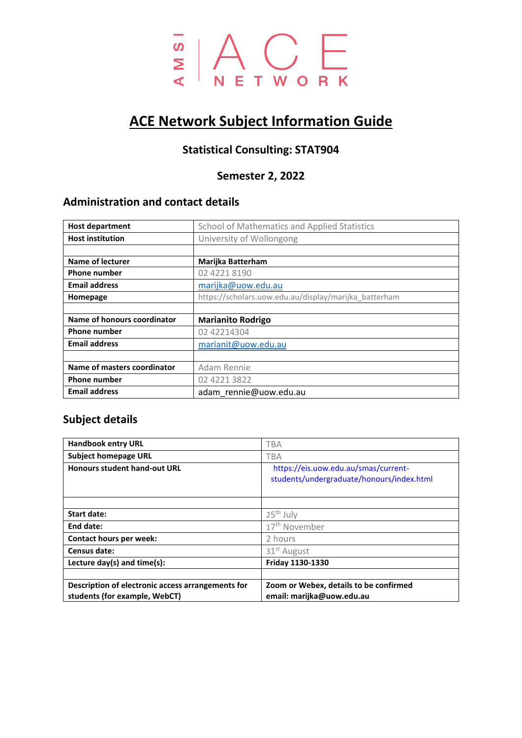

# **ACE Network Subject Information Guide**

# **Statistical Consulting: STAT904**

# **Semester 2, 2022**

# **Administration and contact details**

| <b>Host department</b>      | School of Mathematics and Applied Statistics          |  |
|-----------------------------|-------------------------------------------------------|--|
| <b>Host institution</b>     | University of Wollongong                              |  |
|                             |                                                       |  |
| Name of lecturer            | <b>Marijka Batterham</b>                              |  |
| <b>Phone number</b>         | 02 4221 8190                                          |  |
| <b>Email address</b>        | marijka@uow.edu.au                                    |  |
| Homepage                    | https://scholars.uow.edu.au/display/marijka_batterham |  |
|                             |                                                       |  |
| Name of honours coordinator | <b>Marianito Rodrigo</b>                              |  |
| <b>Phone number</b>         | 02 42214304                                           |  |
| <b>Email address</b>        | marianit@uow.edu.au                                   |  |
|                             |                                                       |  |
| Name of masters coordinator | Adam Rennie                                           |  |
| <b>Phone number</b>         | 02 4221 3822                                          |  |
| <b>Email address</b>        | adam rennie@uow.edu.au                                |  |

# **Subject details**

| <b>Handbook entry URL</b>                                                          | <b>TBA</b>                                                                        |  |
|------------------------------------------------------------------------------------|-----------------------------------------------------------------------------------|--|
| <b>Subject homepage URL</b>                                                        | TBA                                                                               |  |
| <b>Honours student hand-out URL</b>                                                | https://eis.uow.edu.au/smas/current-<br>students/undergraduate/honours/index.html |  |
|                                                                                    |                                                                                   |  |
| <b>Start date:</b>                                                                 | $25th$ July                                                                       |  |
| End date:                                                                          | 17 <sup>th</sup> November                                                         |  |
| Contact hours per week:                                                            | 2 hours                                                                           |  |
| Census date:                                                                       | 31 <sup>st</sup> August                                                           |  |
| Lecture day(s) and time(s):                                                        | Friday 1130-1330                                                                  |  |
|                                                                                    |                                                                                   |  |
| Description of electronic access arrangements for<br>students (for example, WebCT) | Zoom or Webex, details to be confirmed<br>email: marijka@uow.edu.au               |  |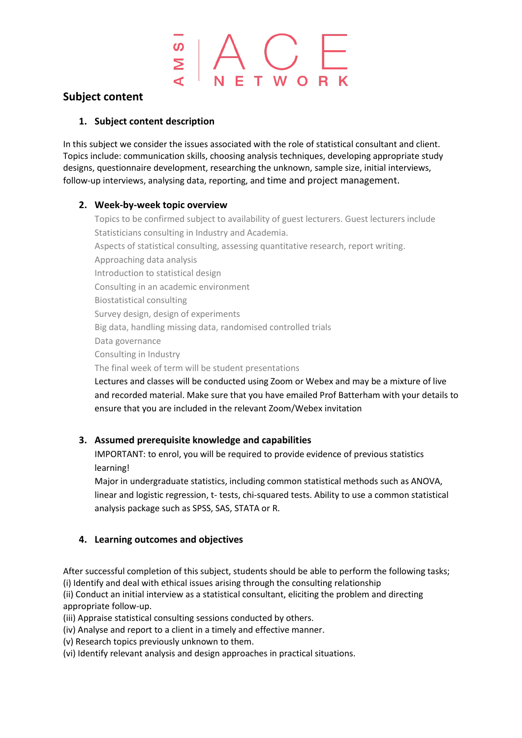### **Subject content**

#### **1. Subject content description**

In this subject we consider the issues associated with the role of statistical consultant and client. Topics include: communication skills, choosing analysis techniques, developing appropriate study designs, questionnaire development, researching the unknown, sample size, initial interviews, follow-up interviews, analysing data, reporting, and time and project management.

#### **2. Week-by-week topic overview**

Topics to be confirmed subject to availability of guest lecturers. Guest lecturers include Statisticians consulting in Industry and Academia. Aspects of statistical consulting, assessing quantitative research, report writing. Approaching data analysis Introduction to statistical design Consulting in an academic environment Biostatistical consulting Survey design, design of experiments Big data, handling missing data, randomised controlled trials Data governance Consulting in Industry The final week of term will be student presentations Lectures and classes will be conducted using Zoom or Webex and may be a mixture of live and recorded material. Make sure that you have emailed Prof Batterham with your details to

### **3. Assumed prerequisite knowledge and capabilities**

ensure that you are included in the relevant Zoom/Webex invitation

IMPORTANT: to enrol, you will be required to provide evidence of previous statistics learning!

Major in undergraduate statistics, including common statistical methods such as ANOVA, linear and logistic regression, t- tests, chi-squared tests. Ability to use a common statistical analysis package such as SPSS, SAS, STATA or R.

### **4. Learning outcomes and objectives**

After successful completion of this subject, students should be able to perform the following tasks; (i) Identify and deal with ethical issues arising through the consulting relationship

(ii) Conduct an initial interview as a statistical consultant, eliciting the problem and directing appropriate follow-up.

(iii) Appraise statistical consulting sessions conducted by others.

(iv) Analyse and report to a client in a timely and effective manner.

(v) Research topics previously unknown to them.

(vi) Identify relevant analysis and design approaches in practical situations.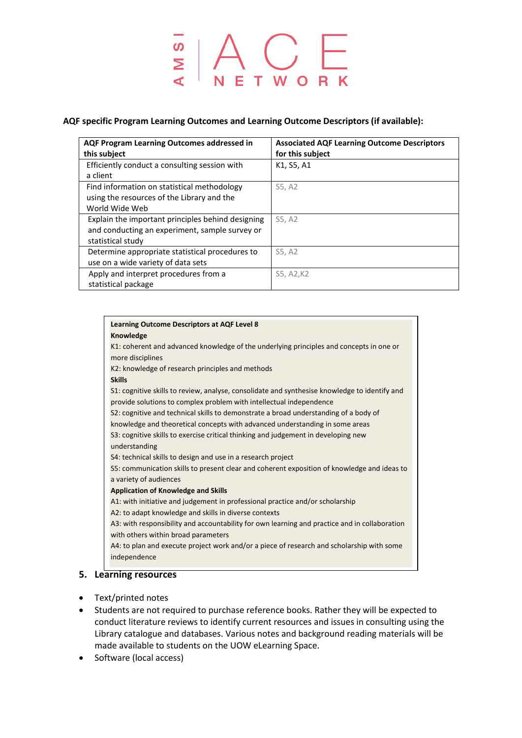# $\begin{array}{c}\n\overline{\circ} \\
\overline{\circ} \\
\overline{\circ} \\
\end{array}$

#### **AQF specific Program Learning Outcomes and Learning Outcome Descriptors (if available):**

| <b>AQF Program Learning Outcomes addressed in</b><br>this subject | <b>Associated AQF Learning Outcome Descriptors</b><br>for this subject |  |
|-------------------------------------------------------------------|------------------------------------------------------------------------|--|
| Efficiently conduct a consulting session with<br>a client         | K1, S5, A1                                                             |  |
| Find information on statistical methodology                       | S5, A2                                                                 |  |
| using the resources of the Library and the                        |                                                                        |  |
| World Wide Web                                                    |                                                                        |  |
| Explain the important principles behind designing                 | S5.A2                                                                  |  |
| and conducting an experiment, sample survey or                    |                                                                        |  |
| statistical study                                                 |                                                                        |  |
| Determine appropriate statistical procedures to                   | S5, A2                                                                 |  |
| use on a wide variety of data sets                                |                                                                        |  |
| Apply and interpret procedures from a                             | S5, A2, K2                                                             |  |
| statistical package                                               |                                                                        |  |

| Knowledge                                                                                     |
|-----------------------------------------------------------------------------------------------|
| K1: coherent and advanced knowledge of the underlying principles and concepts in one or       |
| more disciplines                                                                              |
| K2: knowledge of research principles and methods                                              |
| <b>Skills</b>                                                                                 |
| S1: cognitive skills to review, analyse, consolidate and synthesise knowledge to identify and |
| provide solutions to complex problem with intellectual independence                           |
| S2: cognitive and technical skills to demonstrate a broad understanding of a body of          |
| knowledge and theoretical concepts with advanced understanding in some areas                  |
| S3: cognitive skills to exercise critical thinking and judgement in developing new            |
| understanding                                                                                 |
| S4: technical skills to design and use in a research project                                  |
| S5: communication skills to present clear and coherent exposition of knowledge and ideas to   |
| a variety of audiences                                                                        |
| <b>Application of Knowledge and Skills</b>                                                    |
| A1: with initiative and judgement in professional practice and/or scholarship                 |
| A2: to adapt knowledge and skills in diverse contexts                                         |
| A3: with responsibility and accountability for own learning and practice and in collaboration |
| with others within broad parameters                                                           |
| A4: to plan and execute project work and/or a piece of research and scholarship with some     |
| independence                                                                                  |

- Text/printed notes
- Students are not required to purchase reference books. Rather they will be expected to conduct literature reviews to identify current resources and issues in consulting using the Library catalogue and databases. Various notes and background reading materials will be made available to students on the UOW eLearning Space.
- Software (local access)